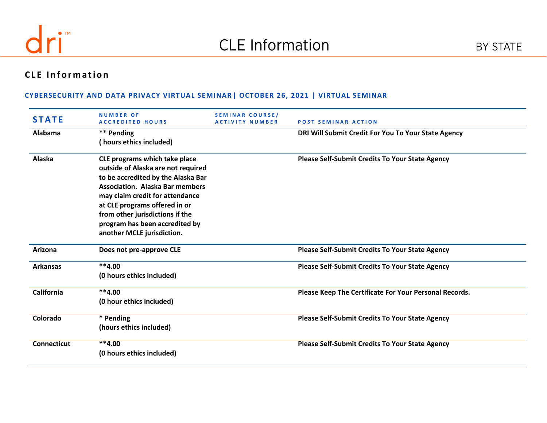

# **CLE Information**

| <b>STATE</b>       | <b>NUMBER OF</b><br><b>ACCREDITED HOURS</b>                                                                                                                                                                                                                                                                                | <b>SEMINAR COURSE/</b><br><b>ACTIVITY NUMBER</b> | <b>POST SEMINAR ACTION</b>                             |
|--------------------|----------------------------------------------------------------------------------------------------------------------------------------------------------------------------------------------------------------------------------------------------------------------------------------------------------------------------|--------------------------------------------------|--------------------------------------------------------|
| <b>Alabama</b>     | ** Pending<br>(hours ethics included)                                                                                                                                                                                                                                                                                      |                                                  | DRI Will Submit Credit For You To Your State Agency    |
| Alaska             | CLE programs which take place<br>outside of Alaska are not required<br>to be accredited by the Alaska Bar<br><b>Association. Alaska Bar members</b><br>may claim credit for attendance<br>at CLE programs offered in or<br>from other jurisdictions if the<br>program has been accredited by<br>another MCLE jurisdiction. |                                                  | <b>Please Self-Submit Credits To Your State Agency</b> |
| Arizona            | Does not pre-approve CLE                                                                                                                                                                                                                                                                                                   |                                                  | <b>Please Self-Submit Credits To Your State Agency</b> |
| <b>Arkansas</b>    | $**4.00$<br>(0 hours ethics included)                                                                                                                                                                                                                                                                                      |                                                  | Please Self-Submit Credits To Your State Agency        |
| California         | $**4.00$<br>(0 hour ethics included)                                                                                                                                                                                                                                                                                       |                                                  | Please Keep The Certificate For Your Personal Records. |
| Colorado           | * Pending<br>(hours ethics included)                                                                                                                                                                                                                                                                                       |                                                  | <b>Please Self-Submit Credits To Your State Agency</b> |
| <b>Connecticut</b> | $**4.00$<br>(0 hours ethics included)                                                                                                                                                                                                                                                                                      |                                                  | <b>Please Self-Submit Credits To Your State Agency</b> |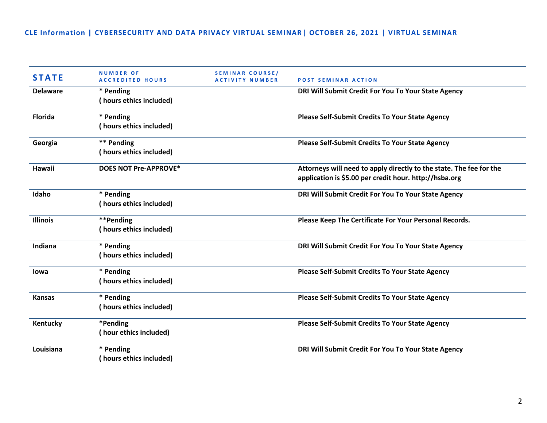| <b>STATE</b>    | <b>NUMBER OF</b><br><b>ACCREDITED HOURS</b> | <b>SEMINAR COURSE/</b><br><b>ACTIVITY NUMBER</b> | <b>POST SEMINAR ACTION</b>                                                                                                    |
|-----------------|---------------------------------------------|--------------------------------------------------|-------------------------------------------------------------------------------------------------------------------------------|
| <b>Delaware</b> | * Pending<br>(hours ethics included)        |                                                  | DRI Will Submit Credit For You To Your State Agency                                                                           |
| <b>Florida</b>  | * Pending<br>(hours ethics included)        |                                                  | <b>Please Self-Submit Credits To Your State Agency</b>                                                                        |
| Georgia         | ** Pending<br>(hours ethics included)       |                                                  | <b>Please Self-Submit Credits To Your State Agency</b>                                                                        |
| <b>Hawaii</b>   | <b>DOES NOT Pre-APPROVE*</b>                |                                                  | Attorneys will need to apply directly to the state. The fee for the<br>application is \$5.00 per credit hour. http://hsba.org |
| Idaho           | * Pending<br>(hours ethics included)        |                                                  | DRI Will Submit Credit For You To Your State Agency                                                                           |
| <b>Illinois</b> | **Pending<br>(hours ethics included)        |                                                  | Please Keep The Certificate For Your Personal Records.                                                                        |
| Indiana         | * Pending<br>(hours ethics included)        |                                                  | DRI Will Submit Credit For You To Your State Agency                                                                           |
| lowa            | * Pending<br>(hours ethics included)        |                                                  | <b>Please Self-Submit Credits To Your State Agency</b>                                                                        |
| <b>Kansas</b>   | * Pending<br>(hours ethics included)        |                                                  | <b>Please Self-Submit Credits To Your State Agency</b>                                                                        |
| Kentucky        | *Pending<br>(hour ethics included)          |                                                  | <b>Please Self-Submit Credits To Your State Agency</b>                                                                        |
| Louisiana       | * Pending<br>(hours ethics included)        |                                                  | DRI Will Submit Credit For You To Your State Agency                                                                           |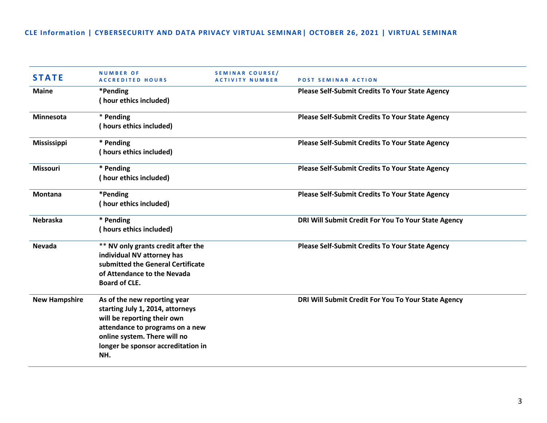| <b>STATE</b>         | <b>NUMBER OF</b><br><b>ACCREDITED HOURS</b>                                                                                                                                                                     | <b>SEMINAR COURSE/</b><br><b>ACTIVITY NUMBER</b> | <b>POST SEMINAR ACTION</b>                             |
|----------------------|-----------------------------------------------------------------------------------------------------------------------------------------------------------------------------------------------------------------|--------------------------------------------------|--------------------------------------------------------|
| <b>Maine</b>         | *Pending<br>(hour ethics included)                                                                                                                                                                              |                                                  | <b>Please Self-Submit Credits To Your State Agency</b> |
| Minnesota            | * Pending<br>(hours ethics included)                                                                                                                                                                            |                                                  | Please Self-Submit Credits To Your State Agency        |
| <b>Mississippi</b>   | * Pending<br>(hours ethics included)                                                                                                                                                                            |                                                  | <b>Please Self-Submit Credits To Your State Agency</b> |
| Missouri             | * Pending<br>(hour ethics included)                                                                                                                                                                             |                                                  | Please Self-Submit Credits To Your State Agency        |
| <b>Montana</b>       | *Pending<br>(hour ethics included)                                                                                                                                                                              |                                                  | Please Self-Submit Credits To Your State Agency        |
| <b>Nebraska</b>      | * Pending<br>(hours ethics included)                                                                                                                                                                            |                                                  | DRI Will Submit Credit For You To Your State Agency    |
| <b>Nevada</b>        | ** NV only grants credit after the<br>individual NV attorney has<br>submitted the General Certificate<br>of Attendance to the Nevada<br><b>Board of CLE.</b>                                                    |                                                  | <b>Please Self-Submit Credits To Your State Agency</b> |
| <b>New Hampshire</b> | As of the new reporting year<br>starting July 1, 2014, attorneys<br>will be reporting their own<br>attendance to programs on a new<br>online system. There will no<br>longer be sponsor accreditation in<br>NH. |                                                  | DRI Will Submit Credit For You To Your State Agency    |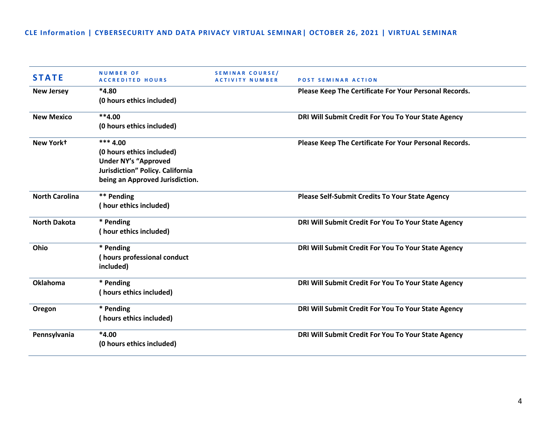| <b>STATE</b>          | <b>NUMBER OF</b><br><b>ACCREDITED HOURS</b>                                                                                                   | SEMINAR COURSE/<br><b>ACTIVITY NUMBER</b> | <b>POST SEMINAR ACTION</b>                             |
|-----------------------|-----------------------------------------------------------------------------------------------------------------------------------------------|-------------------------------------------|--------------------------------------------------------|
| <b>New Jersey</b>     | $*4.80$<br>(0 hours ethics included)                                                                                                          |                                           | Please Keep The Certificate For Your Personal Records. |
| <b>New Mexico</b>     | $**4.00$<br>(0 hours ethics included)                                                                                                         |                                           | DRI Will Submit Credit For You To Your State Agency    |
| New Yorkt             | $***$ 4.00<br>(0 hours ethics included)<br><b>Under NY's "Approved</b><br>Jurisdiction" Policy. California<br>being an Approved Jurisdiction. |                                           | Please Keep The Certificate For Your Personal Records. |
| <b>North Carolina</b> | ** Pending<br>(hour ethics included)                                                                                                          |                                           | <b>Please Self-Submit Credits To Your State Agency</b> |
| <b>North Dakota</b>   | * Pending<br>(hour ethics included)                                                                                                           |                                           | DRI Will Submit Credit For You To Your State Agency    |
| Ohio                  | * Pending<br>(hours professional conduct<br>included)                                                                                         |                                           | DRI Will Submit Credit For You To Your State Agency    |
| <b>Oklahoma</b>       | * Pending<br>(hours ethics included)                                                                                                          |                                           | DRI Will Submit Credit For You To Your State Agency    |
| Oregon                | * Pending<br>(hours ethics included)                                                                                                          |                                           | DRI Will Submit Credit For You To Your State Agency    |
| Pennsylvania          | $*4.00$<br>(0 hours ethics included)                                                                                                          |                                           | DRI Will Submit Credit For You To Your State Agency    |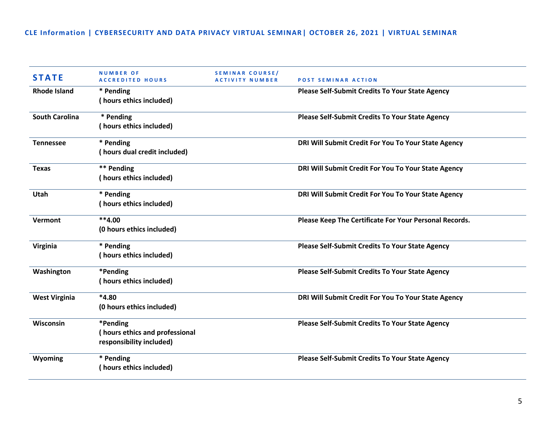| <b>STATE</b>          | <b>NUMBER OF</b><br><b>ACCREDITED HOURS</b>                            | SEMINAR COURSE/<br><b>ACTIVITY NUMBER</b> | <b>POST SEMINAR ACTION</b>                             |
|-----------------------|------------------------------------------------------------------------|-------------------------------------------|--------------------------------------------------------|
| <b>Rhode Island</b>   | * Pending<br>(hours ethics included)                                   |                                           | <b>Please Self-Submit Credits To Your State Agency</b> |
| <b>South Carolina</b> | * Pending<br>(hours ethics included)                                   |                                           | <b>Please Self-Submit Credits To Your State Agency</b> |
| <b>Tennessee</b>      | * Pending<br>(hours dual credit included)                              |                                           | DRI Will Submit Credit For You To Your State Agency    |
| <b>Texas</b>          | ** Pending<br>(hours ethics included)                                  |                                           | DRI Will Submit Credit For You To Your State Agency    |
| <b>Utah</b>           | * Pending<br>(hours ethics included)                                   |                                           | DRI Will Submit Credit For You To Your State Agency    |
| Vermont               | $**4.00$<br>(0 hours ethics included)                                  |                                           | Please Keep The Certificate For Your Personal Records. |
| Virginia              | * Pending<br>(hours ethics included)                                   |                                           | <b>Please Self-Submit Credits To Your State Agency</b> |
| Washington            | *Pending<br>(hours ethics included)                                    |                                           | <b>Please Self-Submit Credits To Your State Agency</b> |
| <b>West Virginia</b>  | $*4.80$<br>(0 hours ethics included)                                   |                                           | DRI Will Submit Credit For You To Your State Agency    |
| Wisconsin             | *Pending<br>(hours ethics and professional<br>responsibility included) |                                           | <b>Please Self-Submit Credits To Your State Agency</b> |
| Wyoming               | * Pending<br>(hours ethics included)                                   |                                           | <b>Please Self-Submit Credits To Your State Agency</b> |